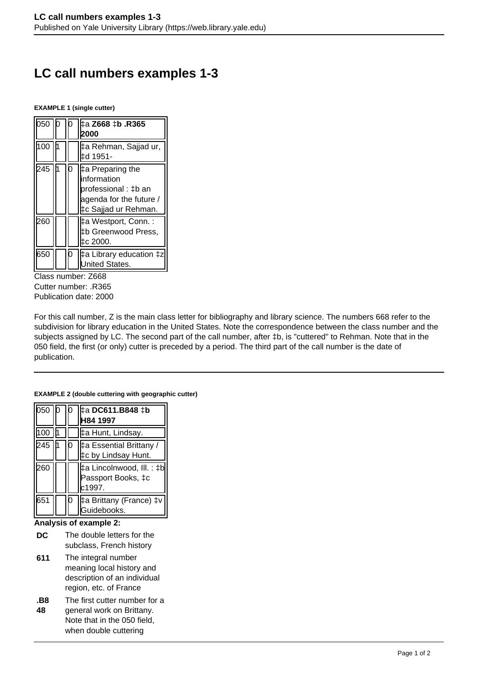# **LC call numbers examples 1-3**

**EXAMPLE 1 (single cutter)**

| 050      |  | 18365. k‡ 2668 ‡b<br>2000                                                                                  |
|----------|--|------------------------------------------------------------------------------------------------------------|
| 100      |  | ‡a Rehman, Sajjad ur,<br>‡d 1951-                                                                          |
| 245      |  | ‡a Preparing the<br>information<br>professional : ‡b an<br>agenda for the future /<br>‡c Sajjad ur Rehman. |
| 260      |  | ‡a Westport, Conn. :<br>‡b Greenwood Press,<br>‡c 2000.                                                    |
| 650<br>ົ |  | ‡a Library education ‡z<br><b>Jnited States.</b>                                                           |

Class number: Z668 Cutter number: .R365 Publication date: 2000

For this call number, Z is the main class letter for bibliography and library science. The numbers 668 refer to the subdivision for library education in the United States. Note the correspondence between the class number and the subjects assigned by LC. The second part of the call number, after ‡b, is "cuttered" to Rehman. Note that in the 050 field, the first (or only) cutter is preceded by a period. The third part of the call number is the date of publication.

#### **EXAMPLE 2 (double cuttering with geographic cutter)**

| lb50  |  | ‡a DC611.B848 ‡b<br>H84 1997                              |
|-------|--|-----------------------------------------------------------|
| 100 l |  | ‡a Hunt, Lindsay.                                         |
| 245   |  | ‡a Essential Brittany /<br>‡c by Lindsay Hunt.            |
| 260   |  | ‡a Lincolnwood, III. : ‡b<br>Passport Books, ‡c<br>c1997. |
| 651   |  | #a Brittany (France) ‡v<br>Guidebooks.                    |

### **Analysis of example 2:**

- **DC** The double letters for the subclass, French history
- **611** The integral number meaning local history and description of an individual region, etc. of France
- **.B8** The first cutter number for a
- **48** general work on Brittany. Note that in the 050 field, when double cuttering